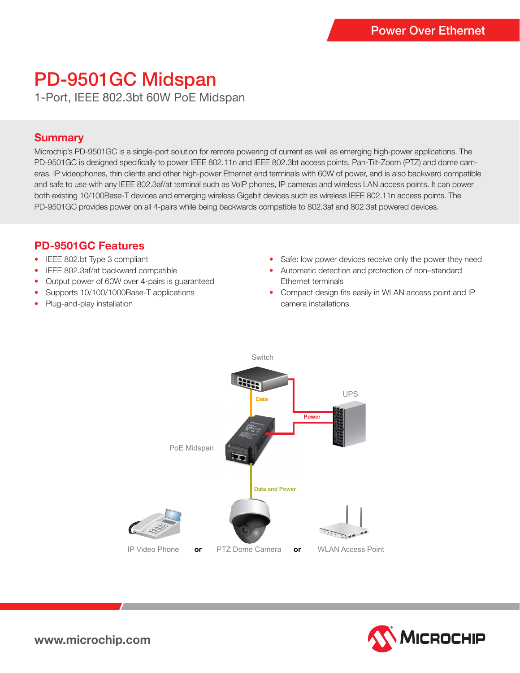# PD-9501GC Midspan

1-Port, IEEE 802.3bt 60W PoE Midspan

#### **Summary**

Microchip's PD-9501GC is a single-port solution for remote powering of current as well as emerging high-power applications. The PD-9501GC is designed specifically to power IEEE 802.11n and IEEE 802.3bt access points, Pan-Tilt-Zoom (PTZ) and dome cameras, IP videophones, thin clients and other high-power Ethernet end terminals with 60W of power, and is also backward compatible and safe to use with any IEEE 802.3af/at terminal such as VoIP phones, IP cameras and wireless LAN access points. It can power both existing 10/100Base-T devices and emerging wireless Gigabit devices such as wireless IEEE 802.11n access points. The PD-9501GC provides power on all 4-pairs while being backwards compatible to 802.3af and 802.3at powered devices.

### **PD-9501GC Features**

- IEEE 802.bt Type 3 compliant
- IEEE 802.3af/at backward compatible
- Output power of 60W over 4-pairs is guaranteed
- Supports 10/100/1000Base-T applications
- Plug-and-play installation
- Safe: low power devices receive only the power they need
- Automatic detection and protection of non–standard Ethernet terminals
- Compact design fits easily in WLAN access point and IP camera installations





**www.microchip.com**